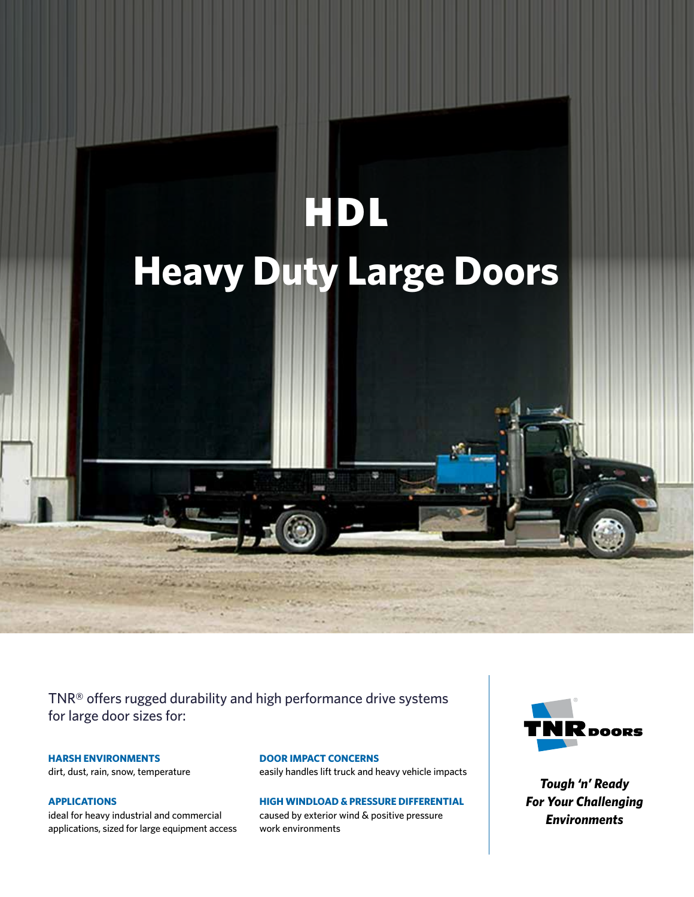

TNR® offers rugged durability and high performance drive systems for large door sizes for:

# **HARSH ENVIRONMENTS**

dirt, dust, rain, snow, temperature

# **APPLICATIONS**

ideal for heavy industrial and commercial applications, sized for large equipment access

### **DOOR IMPACT CONCERNS**

easily handles lift truck and heavy vehicle impacts

# **HIGH WINDLOAD & PRESSURE DIFFERENTIAL**

caused by exterior wind & positive pressure work environments



*Tough 'n' Ready For Your Challenging Environments*